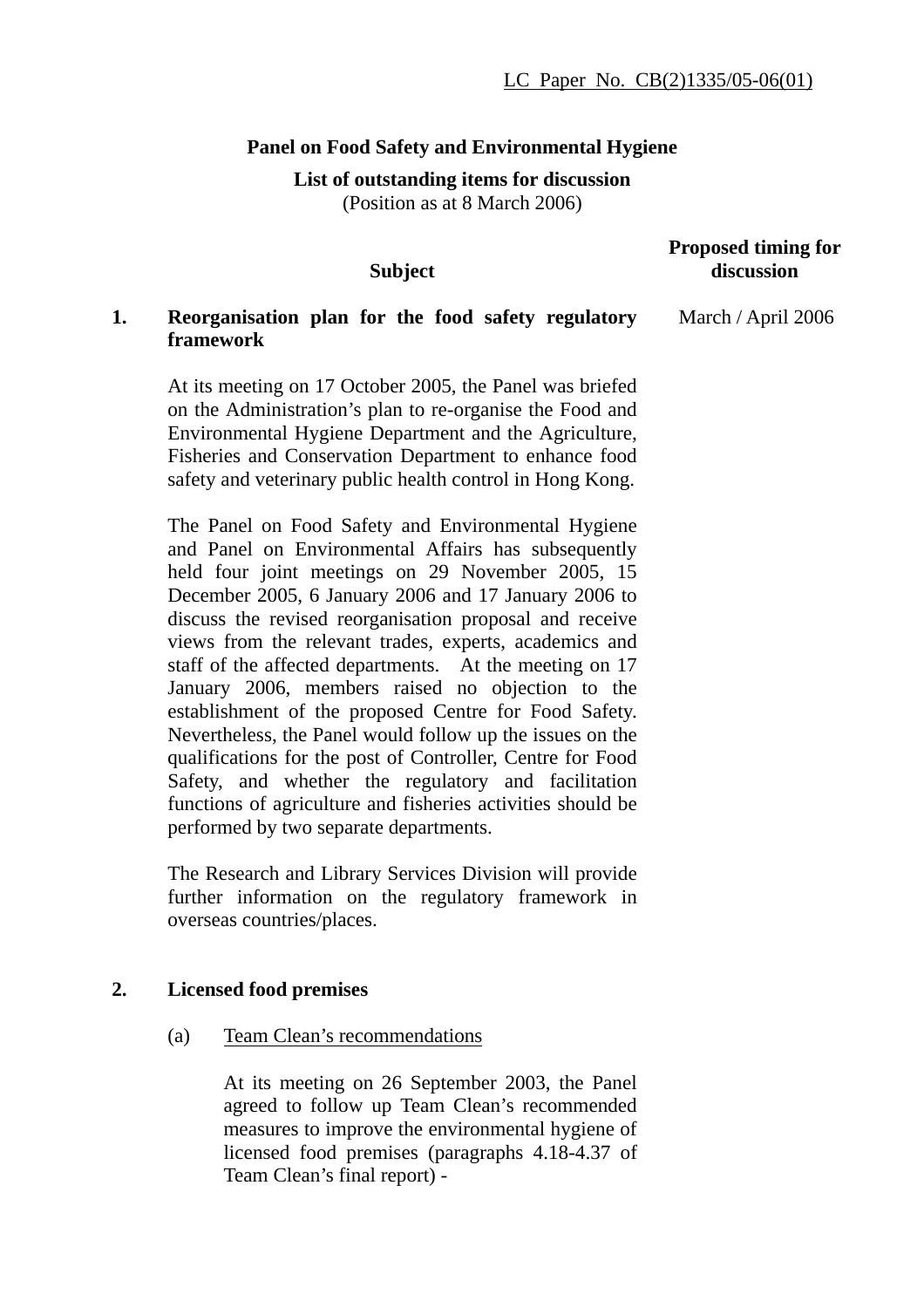# **Panel on Food Safety and Environmental Hygiene**

**List of outstanding items for discussion**  (Position as at 8 March 2006)

## **Subject**

#### **Proposed timing for discussion**

#### **1. Reorganisation plan for the food safety regulatory framework**  March / April 2006

At its meeting on 17 October 2005, the Panel was briefed on the Administration's plan to re-organise the Food and Environmental Hygiene Department and the Agriculture, Fisheries and Conservation Department to enhance food safety and veterinary public health control in Hong Kong.

The Panel on Food Safety and Environmental Hygiene and Panel on Environmental Affairs has subsequently held four joint meetings on 29 November 2005, 15 December 2005, 6 January 2006 and 17 January 2006 to discuss the revised reorganisation proposal and receive views from the relevant trades, experts, academics and staff of the affected departments. At the meeting on 17 January 2006, members raised no objection to the establishment of the proposed Centre for Food Safety. Nevertheless, the Panel would follow up the issues on the qualifications for the post of Controller, Centre for Food Safety, and whether the regulatory and facilitation functions of agriculture and fisheries activities should be performed by two separate departments.

The Research and Library Services Division will provide further information on the regulatory framework in overseas countries/places.

## **2. Licensed food premises**

(a) Team Clean's recommendations

At its meeting on 26 September 2003, the Panel agreed to follow up Team Clean's recommended measures to improve the environmental hygiene of licensed food premises (paragraphs 4.18-4.37 of Team Clean's final report) -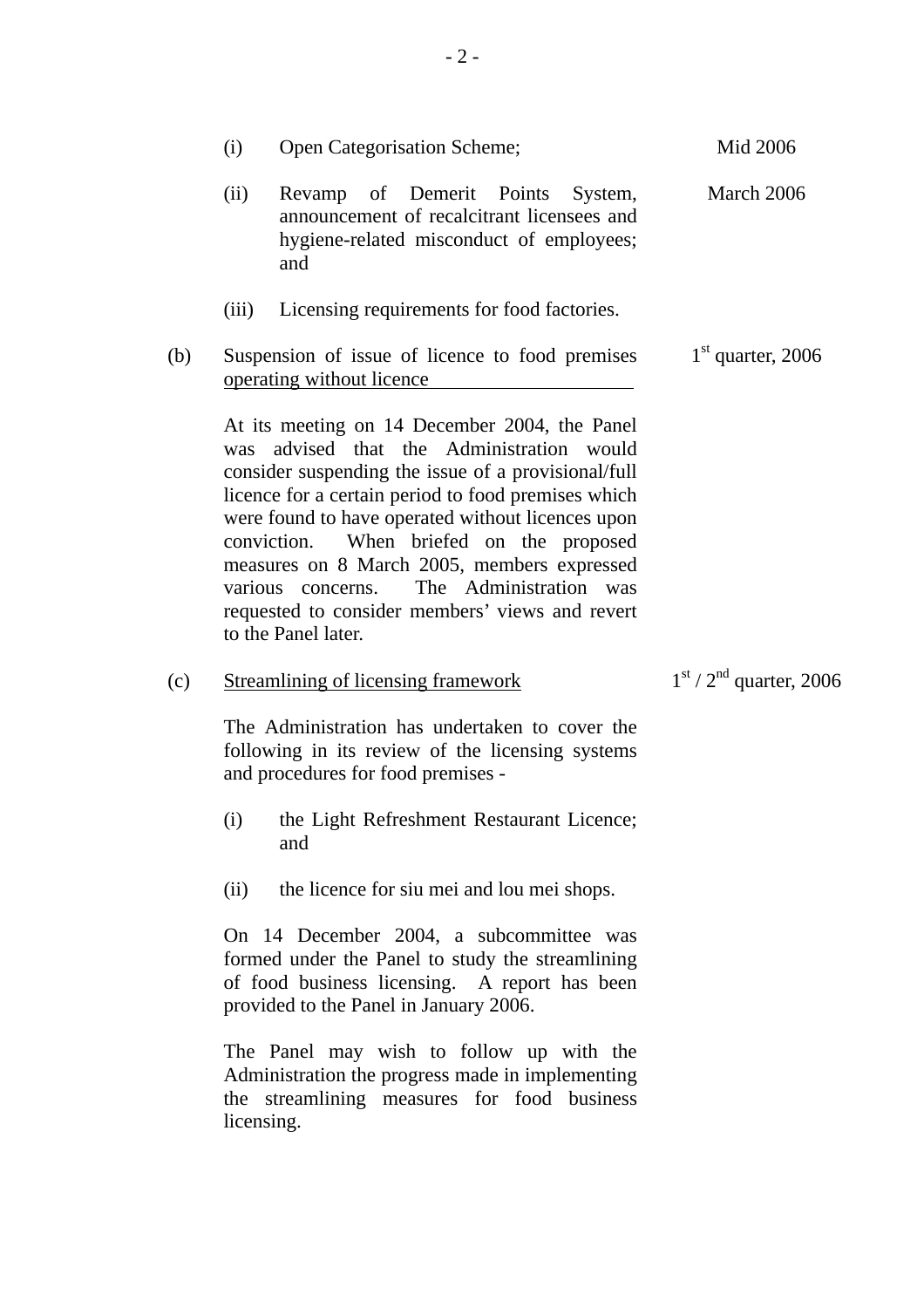|     | (i)                                                                          | Open Categorisation Scheme;                                                                                                                                                                                                                                                                                                                                                                                                                                                      | Mid 2006                  |
|-----|------------------------------------------------------------------------------|----------------------------------------------------------------------------------------------------------------------------------------------------------------------------------------------------------------------------------------------------------------------------------------------------------------------------------------------------------------------------------------------------------------------------------------------------------------------------------|---------------------------|
|     | (ii)                                                                         | Revamp of Demerit Points<br>System,<br>announcement of recalcitrant licensees and<br>hygiene-related misconduct of employees;<br>and                                                                                                                                                                                                                                                                                                                                             | March 2006                |
|     | (iii)                                                                        | Licensing requirements for food factories.                                                                                                                                                                                                                                                                                                                                                                                                                                       |                           |
| (b) | Suspension of issue of licence to food premises<br>operating without licence |                                                                                                                                                                                                                                                                                                                                                                                                                                                                                  | $1st$ quarter, 2006       |
|     | was                                                                          | At its meeting on 14 December 2004, the Panel<br>advised that the Administration would<br>consider suspending the issue of a provisional/full<br>licence for a certain period to food premises which<br>were found to have operated without licences upon<br>When briefed on the proposed<br>conviction.<br>measures on 8 March 2005, members expressed<br>The Administration was<br>various concerns.<br>requested to consider members' views and revert<br>to the Panel later. |                           |
| (c) |                                                                              | <b>Streamlining of licensing framework</b>                                                                                                                                                                                                                                                                                                                                                                                                                                       | $1st / 2nd$ quarter, 2006 |
|     |                                                                              | The Administration has undertaken to cover the<br>following in its review of the licensing systems<br>and procedures for food premises -                                                                                                                                                                                                                                                                                                                                         |                           |
|     | (i)                                                                          | the Light Refreshment Restaurant Licence;<br>and                                                                                                                                                                                                                                                                                                                                                                                                                                 |                           |
|     | (ii)                                                                         | the licence for siu mei and lou mei shops.                                                                                                                                                                                                                                                                                                                                                                                                                                       |                           |
|     |                                                                              | On 14 December 2004, a subcommittee was<br>formed under the Panel to study the streamlining<br>of food business licensing. A report has been<br>provided to the Panel in January 2006.                                                                                                                                                                                                                                                                                           |                           |
|     | licensing.                                                                   | The Panel may wish to follow up with the<br>Administration the progress made in implementing<br>the streamlining measures for food business                                                                                                                                                                                                                                                                                                                                      |                           |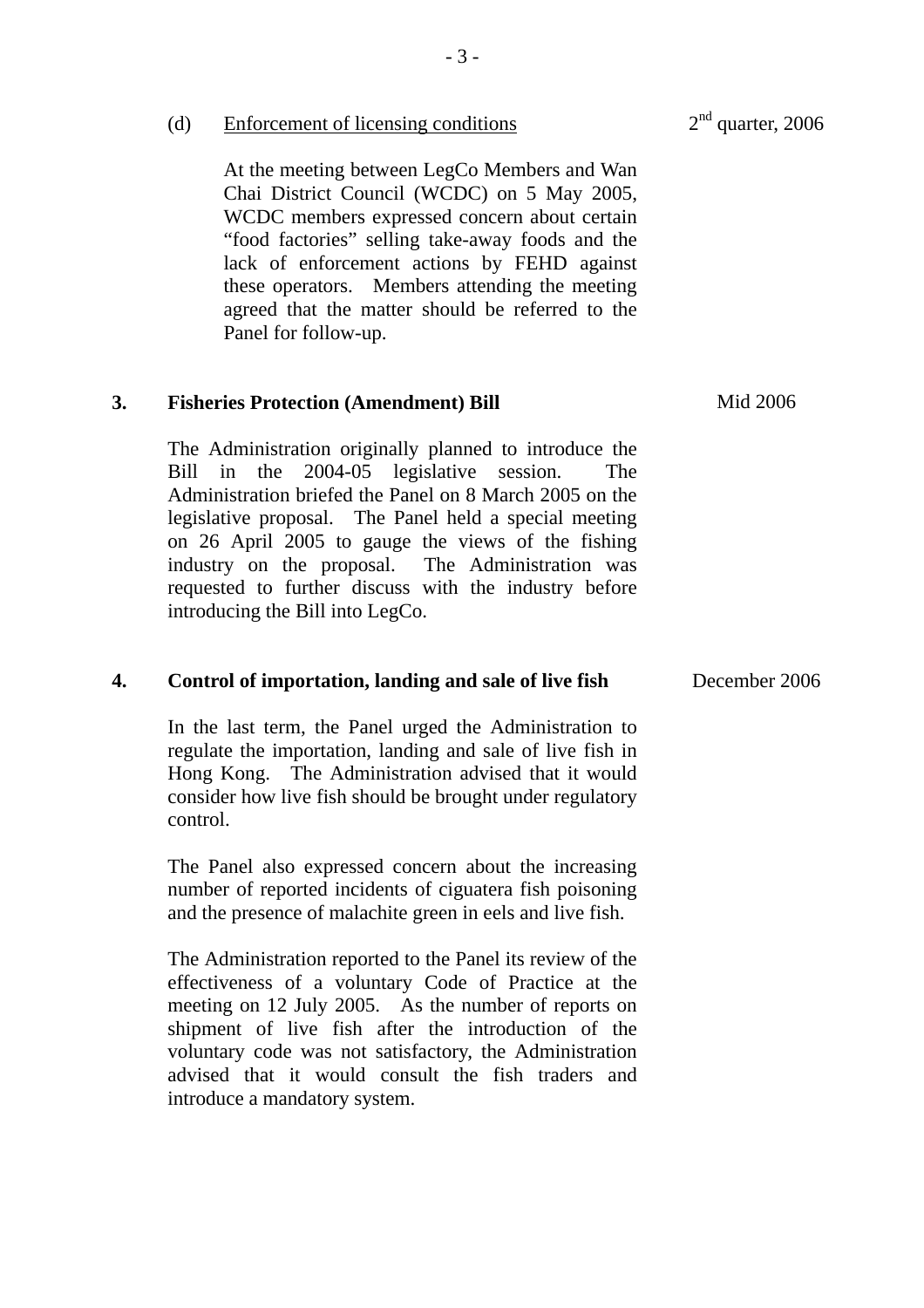|    | (d)      | <b>Enforcement of licensing conditions</b>                                                                                                                                                                                                                                                                                                                                                                                    | $2nd$ quarter, 2006 |
|----|----------|-------------------------------------------------------------------------------------------------------------------------------------------------------------------------------------------------------------------------------------------------------------------------------------------------------------------------------------------------------------------------------------------------------------------------------|---------------------|
|    |          | At the meeting between LegCo Members and Wan<br>Chai District Council (WCDC) on 5 May 2005,<br>WCDC members expressed concern about certain<br>"food factories" selling take-away foods and the<br>lack of enforcement actions by FEHD against<br>these operators. Members attending the meeting<br>agreed that the matter should be referred to the<br>Panel for follow-up.                                                  |                     |
| 3. |          | <b>Fisheries Protection (Amendment) Bill</b>                                                                                                                                                                                                                                                                                                                                                                                  | Mid 2006            |
|    | Bill in  | The Administration originally planned to introduce the<br>the 2004-05 legislative session.<br>The<br>Administration briefed the Panel on 8 March 2005 on the<br>legislative proposal. The Panel held a special meeting<br>on 26 April 2005 to gauge the views of the fishing<br>industry on the proposal. The Administration was<br>requested to further discuss with the industry before<br>introducing the Bill into LegCo. |                     |
| 4. |          | Control of importation, landing and sale of live fish                                                                                                                                                                                                                                                                                                                                                                         | December 2006       |
|    | control. | In the last term, the Panel urged the Administration to<br>regulate the importation, landing and sale of live fish in<br>Hong Kong. The Administration advised that it would<br>consider how live fish should be brought under regulatory                                                                                                                                                                                     |                     |
|    |          | The Panel also expressed concern about the increasing<br>number of reported incidents of ciguatera fish poisoning<br>and the presence of malachite green in eels and live fish.                                                                                                                                                                                                                                               |                     |
|    |          | The Administration reported to the Panel its review of the<br>effectiveness of a voluntary Code of Practice at the<br>meeting on 12 July 2005. As the number of reports on<br>shipment of live fish after the introduction of the<br>voluntary code was not satisfactory, the Administration<br>advised that it would consult the fish traders and<br>introduce a mandatory system.                                           |                     |
|    |          |                                                                                                                                                                                                                                                                                                                                                                                                                               |                     |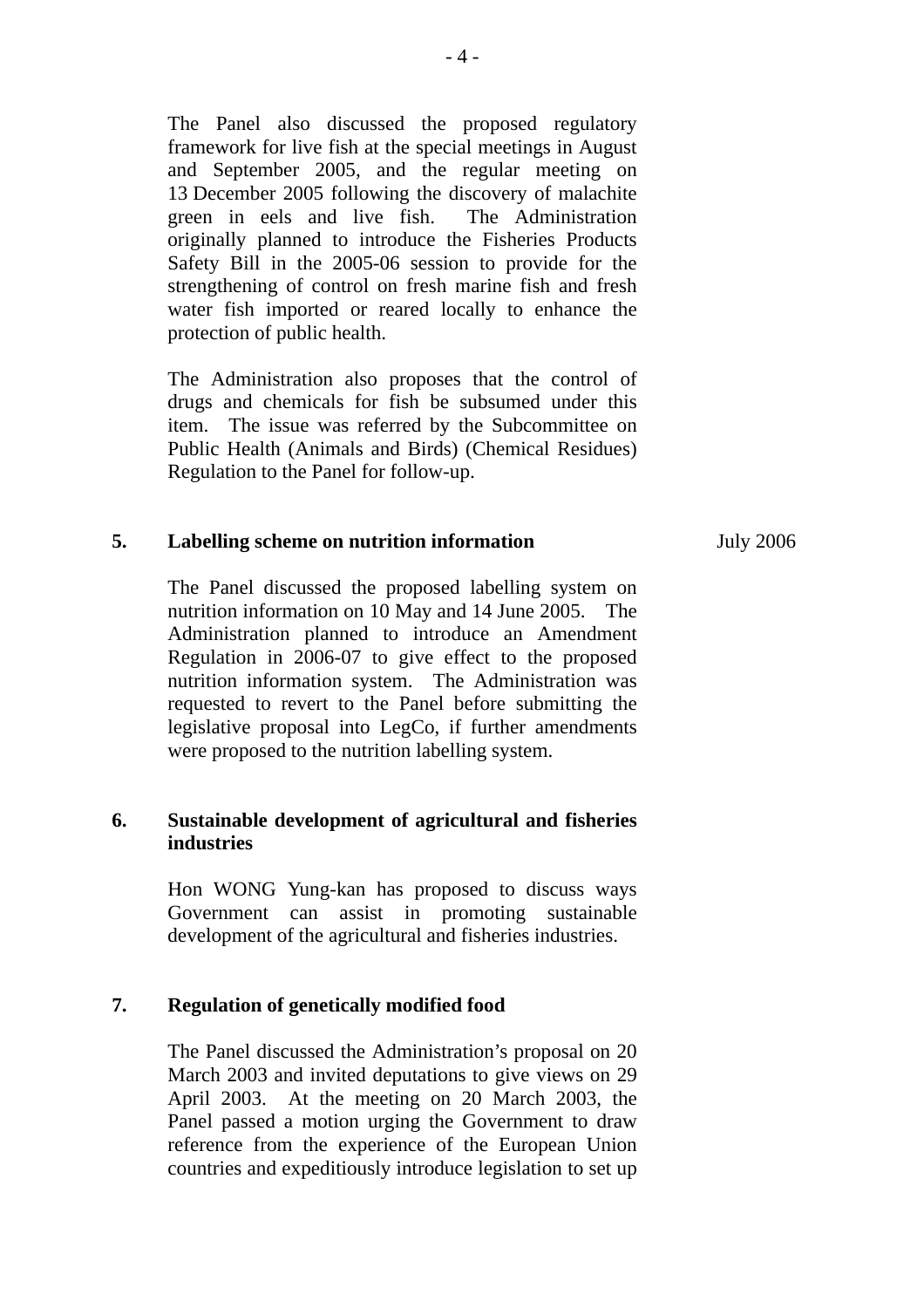The Panel also discussed the proposed regulatory framework for live fish at the special meetings in August and September 2005, and the regular meeting on 13 December 2005 following the discovery of malachite green in eels and live fish. The Administration originally planned to introduce the Fisheries Products Safety Bill in the 2005-06 session to provide for the strengthening of control on fresh marine fish and fresh water fish imported or reared locally to enhance the protection of public health.

The Administration also proposes that the control of drugs and chemicals for fish be subsumed under this item. The issue was referred by the Subcommittee on Public Health (Animals and Birds) (Chemical Residues) Regulation to the Panel for follow-up.

#### **5. Labelling scheme on nutrition information**

The Panel discussed the proposed labelling system on nutrition information on 10 May and 14 June 2005. The Administration planned to introduce an Amendment Regulation in 2006-07 to give effect to the proposed nutrition information system. The Administration was requested to revert to the Panel before submitting the legislative proposal into LegCo, if further amendments were proposed to the nutrition labelling system.

# **6. Sustainable development of agricultural and fisheries industries**

Hon WONG Yung-kan has proposed to discuss ways Government can assist in promoting sustainable development of the agricultural and fisheries industries.

# **7. Regulation of genetically modified food**

The Panel discussed the Administration's proposal on 20 March 2003 and invited deputations to give views on 29 April 2003. At the meeting on 20 March 2003, the Panel passed a motion urging the Government to draw reference from the experience of the European Union countries and expeditiously introduce legislation to set up July 2006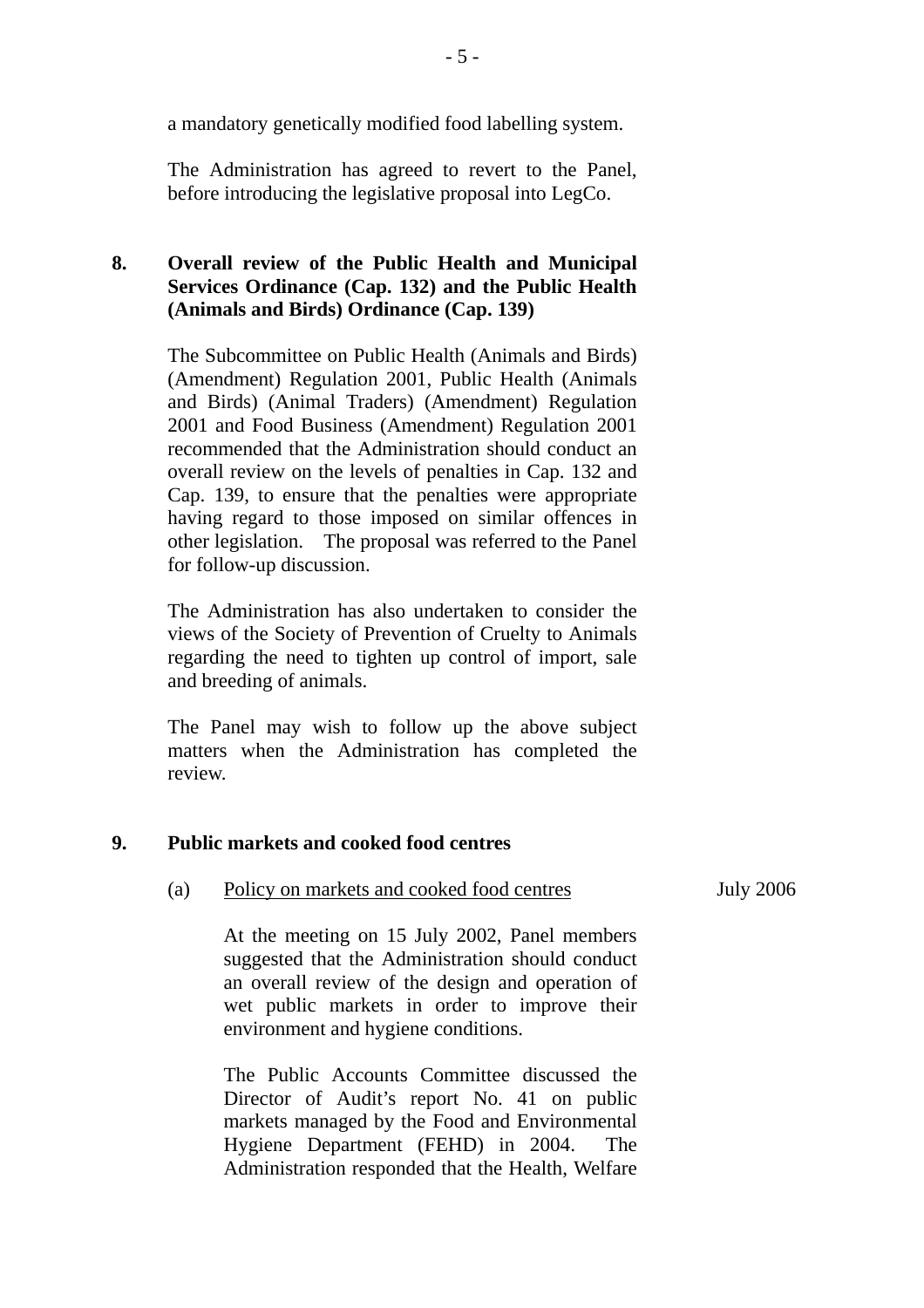a mandatory genetically modified food labelling system.

The Administration has agreed to revert to the Panel, before introducing the legislative proposal into LegCo.

# **8. Overall review of the Public Health and Municipal Services Ordinance (Cap. 132) and the Public Health (Animals and Birds) Ordinance (Cap. 139)**

The Subcommittee on Public Health (Animals and Birds) (Amendment) Regulation 2001, Public Health (Animals and Birds) (Animal Traders) (Amendment) Regulation 2001 and Food Business (Amendment) Regulation 2001 recommended that the Administration should conduct an overall review on the levels of penalties in Cap. 132 and Cap. 139, to ensure that the penalties were appropriate having regard to those imposed on similar offences in other legislation. The proposal was referred to the Panel for follow-up discussion.

The Administration has also undertaken to consider the views of the Society of Prevention of Cruelty to Animals regarding the need to tighten up control of import, sale and breeding of animals.

The Panel may wish to follow up the above subject matters when the Administration has completed the review.

## **9. Public markets and cooked food centres**

#### (a) Policy on markets and cooked food centres

July 2006

At the meeting on 15 July 2002, Panel members suggested that the Administration should conduct an overall review of the design and operation of wet public markets in order to improve their environment and hygiene conditions.

The Public Accounts Committee discussed the Director of Audit's report No. 41 on public markets managed by the Food and Environmental Hygiene Department (FEHD) in 2004. The Administration responded that the Health, Welfare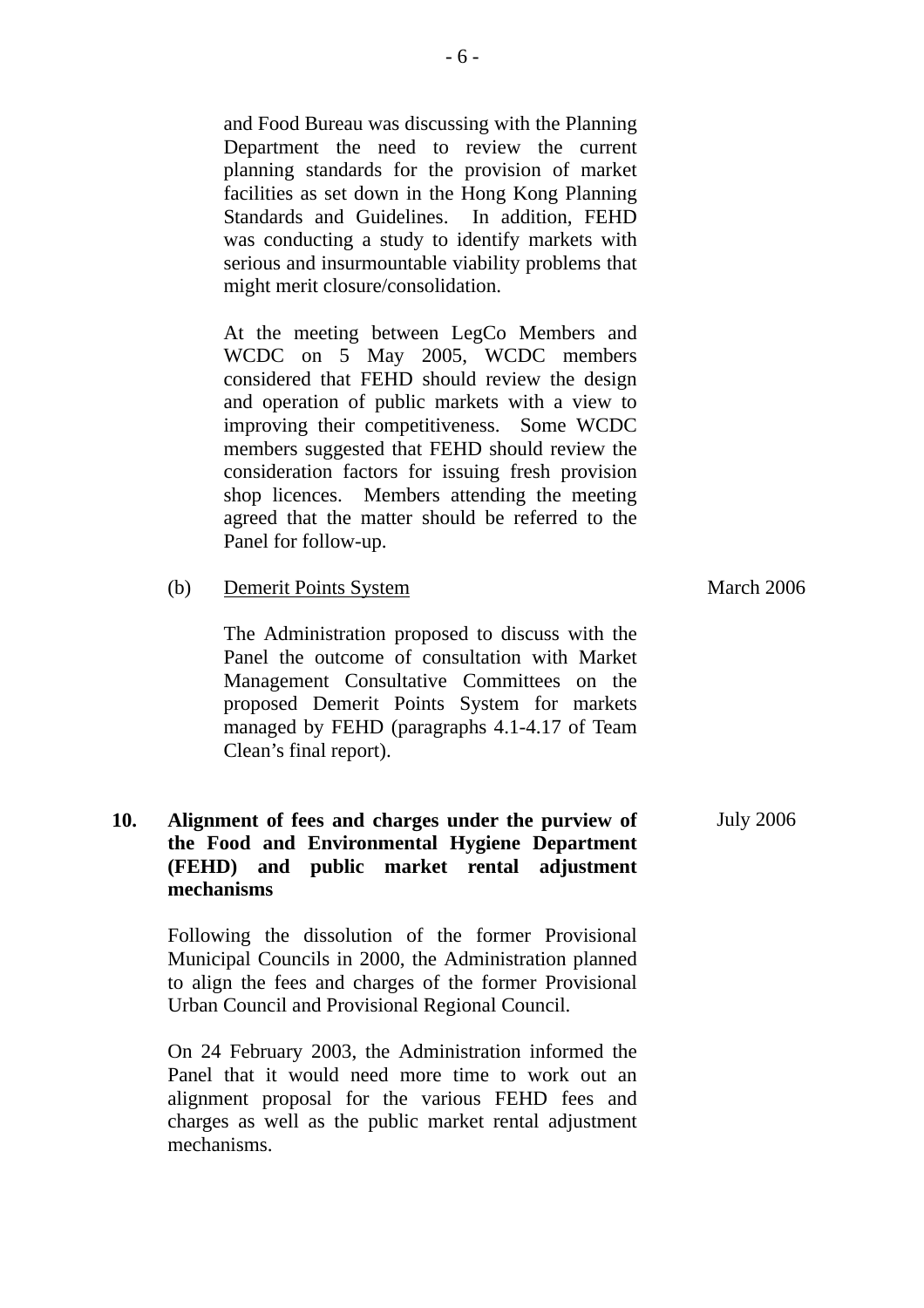and Food Bureau was discussing with the Planning Department the need to review the current planning standards for the provision of market facilities as set down in the Hong Kong Planning Standards and Guidelines. In addition, FEHD was conducting a study to identify markets with serious and insurmountable viability problems that might merit closure/consolidation.

At the meeting between LegCo Members and WCDC on 5 May 2005, WCDC members considered that FEHD should review the design and operation of public markets with a view to improving their competitiveness. Some WCDC members suggested that FEHD should review the consideration factors for issuing fresh provision shop licences. Members attending the meeting agreed that the matter should be referred to the Panel for follow-up.

(b) Demerit Points System

Clean's final report).

| $\sqrt{2}$                                      | $11441$ cm $2000$ |
|-------------------------------------------------|-------------------|
| The Administration proposed to discuss with the |                   |
| Panel the outcome of consultation with Market   |                   |
| Management Consultative Committees on the       |                   |
| proposed Demerit Points System for markets      |                   |
| managed by FEHD (paragraphs 4.1-4.17 of Team    |                   |

March 2006

#### **10. Alignment of fees and charges under the purview of the Food and Environmental Hygiene Department (FEHD) and public market rental adjustment mechanisms**  July 2006

Following the dissolution of the former Provisional Municipal Councils in 2000, the Administration planned to align the fees and charges of the former Provisional Urban Council and Provisional Regional Council.

On 24 February 2003, the Administration informed the Panel that it would need more time to work out an alignment proposal for the various FEHD fees and charges as well as the public market rental adjustment mechanisms.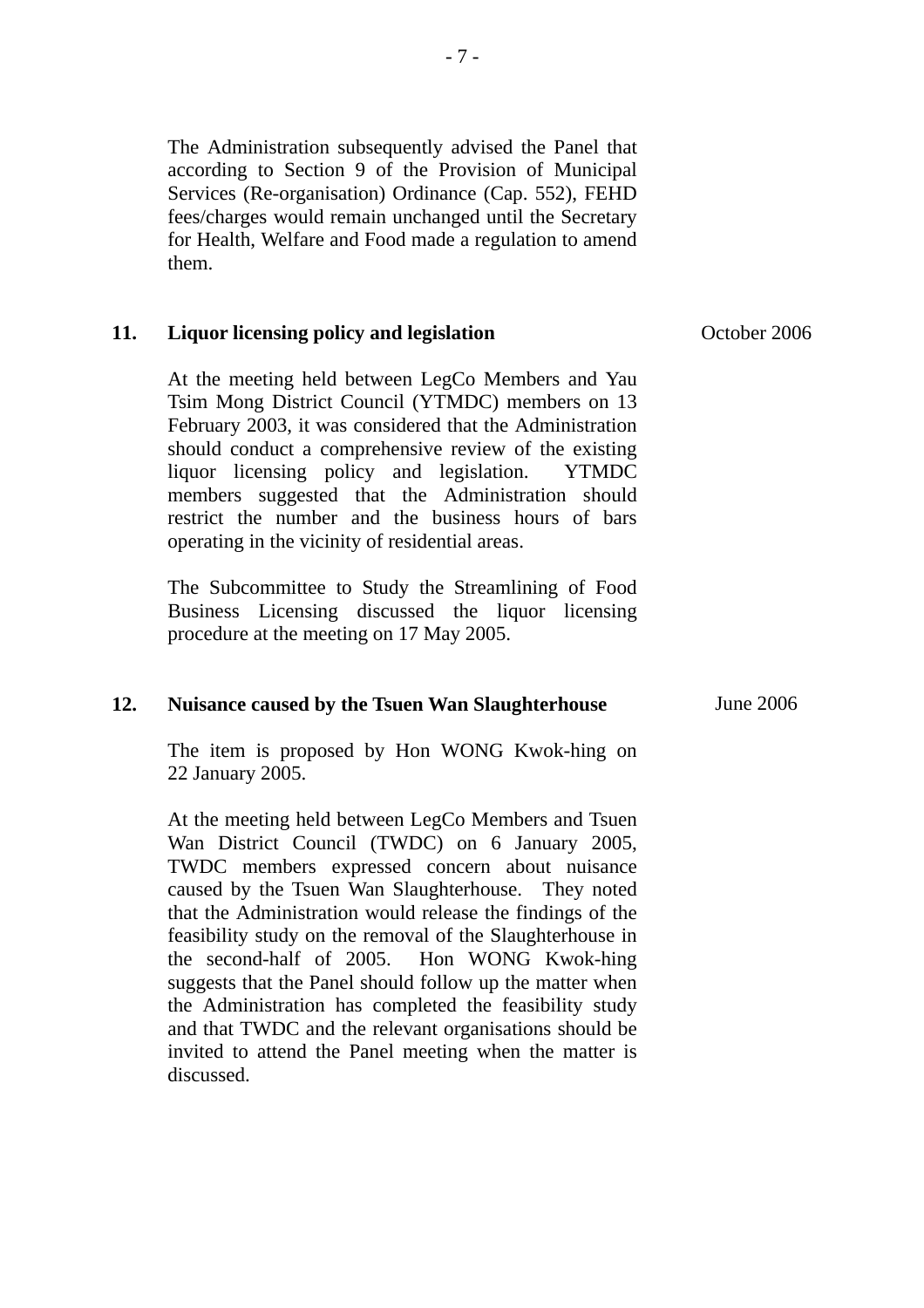The Administration subsequently advised the Panel that according to Section 9 of the Provision of Municipal Services (Re-organisation) Ordinance (Cap. 552), FEHD fees/charges would remain unchanged until the Secretary for Health, Welfare and Food made a regulation to amend them.

#### **11. Liquor licensing policy and legislation**

At the meeting held between LegCo Members and Yau Tsim Mong District Council (YTMDC) members on 13 February 2003, it was considered that the Administration should conduct a comprehensive review of the existing liquor licensing policy and legislation. YTMDC members suggested that the Administration should restrict the number and the business hours of bars operating in the vicinity of residential areas.

The Subcommittee to Study the Streamlining of Food Business Licensing discussed the liquor licensing procedure at the meeting on 17 May 2005.

#### **12. Nuisance caused by the Tsuen Wan Slaughterhouse**

The item is proposed by Hon WONG Kwok-hing on 22 January 2005.

At the meeting held between LegCo Members and Tsuen Wan District Council (TWDC) on 6 January 2005, TWDC members expressed concern about nuisance caused by the Tsuen Wan Slaughterhouse. They noted that the Administration would release the findings of the feasibility study on the removal of the Slaughterhouse in the second-half of 2005. Hon WONG Kwok-hing suggests that the Panel should follow up the matter when the Administration has completed the feasibility study and that TWDC and the relevant organisations should be invited to attend the Panel meeting when the matter is discussed.

October 2006

June 2006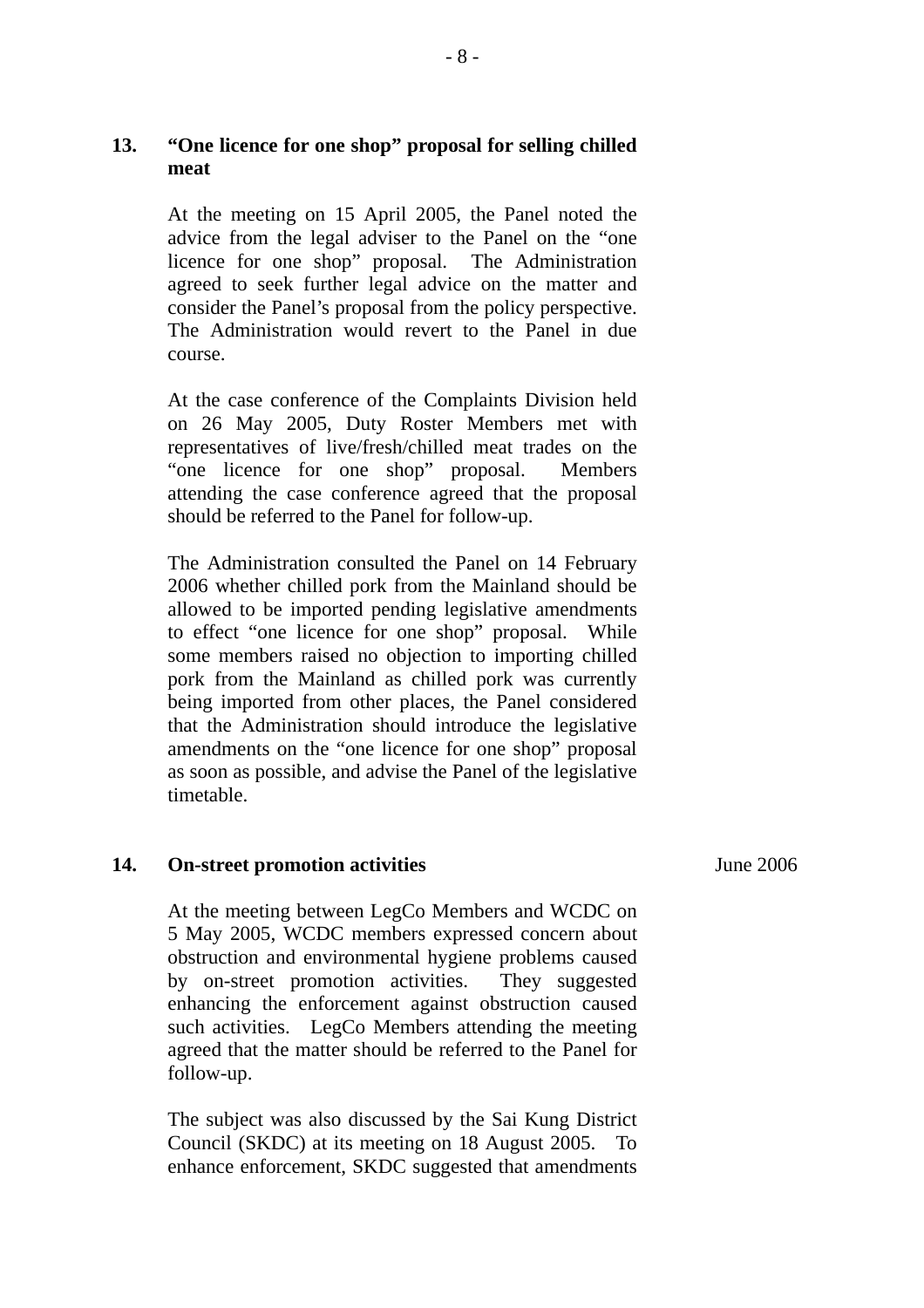# **13. "One licence for one shop" proposal for selling chilled meat**

At the meeting on 15 April 2005, the Panel noted the advice from the legal adviser to the Panel on the "one licence for one shop" proposal. The Administration agreed to seek further legal advice on the matter and consider the Panel's proposal from the policy perspective. The Administration would revert to the Panel in due course.

At the case conference of the Complaints Division held on 26 May 2005, Duty Roster Members met with representatives of live/fresh/chilled meat trades on the "one licence for one shop" proposal. Members attending the case conference agreed that the proposal should be referred to the Panel for follow-up.

The Administration consulted the Panel on 14 February 2006 whether chilled pork from the Mainland should be allowed to be imported pending legislative amendments to effect "one licence for one shop" proposal. While some members raised no objection to importing chilled pork from the Mainland as chilled pork was currently being imported from other places, the Panel considered that the Administration should introduce the legislative amendments on the "one licence for one shop" proposal as soon as possible, and advise the Panel of the legislative timetable.

## **14. On-street promotion activities**

At the meeting between LegCo Members and WCDC on 5 May 2005, WCDC members expressed concern about obstruction and environmental hygiene problems caused by on-street promotion activities. They suggested enhancing the enforcement against obstruction caused such activities. LegCo Members attending the meeting agreed that the matter should be referred to the Panel for follow-up.

The subject was also discussed by the Sai Kung District Council (SKDC) at its meeting on 18 August 2005. To enhance enforcement, SKDC suggested that amendments June 2006